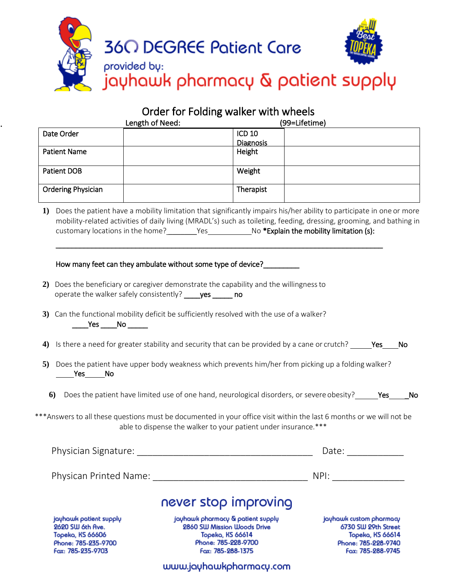

### Order for Folding walker with wheels

|                           | Length of Need: |                  | (99=Lifetime) |
|---------------------------|-----------------|------------------|---------------|
| Date Order                |                 | <b>ICD 10</b>    |               |
|                           |                 | <b>Diagnosis</b> |               |
| <b>Patient Name</b>       |                 | Height           |               |
| <b>Patient DOB</b>        |                 | Weight           |               |
| <b>Ordering Physician</b> |                 | Therapist        |               |

**1)** Does the patient have a mobility limitation that significantly impairs his/her ability to participate in one or more mobility-related activities of daily living (MRADL's) such as toileting, feeding, dressing, grooming, and bathing in customary locations in the home? \_\_\_\_\_\_\_\_Yes \_\_\_\_\_\_\_\_\_\_\_\_\_No \*Explain the mobility limitation (s):

\_\_\_\_\_\_\_\_\_\_\_\_\_\_\_\_\_\_\_\_\_\_\_\_\_\_\_\_\_\_\_\_\_\_\_\_\_\_\_\_\_\_\_\_\_\_\_\_\_\_\_\_\_\_\_\_\_\_\_\_\_\_\_\_\_\_\_\_\_\_\_\_\_\_\_\_\_\_\_\_\_\_

#### How many feet can they ambulate without some type of device?

- **2)** Does the beneficiary or caregiver demonstrate the capability and the willingnessto operate the walker safely consistently? ves \_\_\_\_\_\_ no
- **3)** Can the functional mobility deficit be sufficiently resolved with the use of a walker?  $\sqrt{2}$ Yes  $\sqrt{2}$ No  $\sqrt{2}$
- 4) Is there a need for greater stability and security that can be provided by a cane or crutch? \_\_\_\_\_\_Yes\_\_\_\_No
- **5)** Does the patient have upper body weakness which prevents him/her from picking up a foldingwalker? No Nes No
	- 6) Does the patient have limited use of one hand, neurological disorders, or severe obesity? \_\_\_\_\_ Yes\_\_\_\_\_No

\*\*\*Answers to all these questions must be documented in your office visit within the last 6 months or we will not be able to dispense the walker to your patient under insurance.\*\*\*

| Physician Signature:                       |                                                                  | Date:                                          |
|--------------------------------------------|------------------------------------------------------------------|------------------------------------------------|
| Physican Printed Name:                     |                                                                  | NPI:                                           |
|                                            | never stop improving                                             |                                                |
| jayhawk patient supply<br>2620 SW 6th Ave. | jayhawk pharmacy & patient supply<br>2860 SW Mission Woods Drive | jayhawk custom pharmacy<br>6730 SW 29th Street |

Topeka, KS 66606 Phone: 785-235-9700 Fax: 785-235-9703

.

Topeka, KS 66614 Phone: 785-228-9700 Fax: 785-288-1375

**Topeka, KS 66614** Phone: 785-228-9740 Fax: 785-288-9745

www.jayhawkpharmacy.com